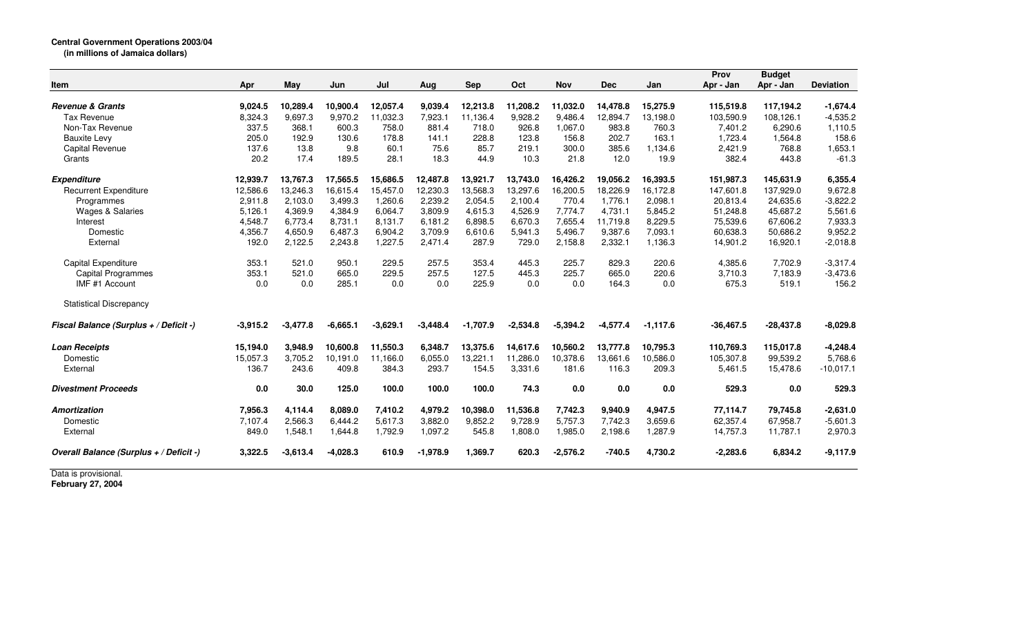|                                         |            |            |            |            |            |            |            |            |            |             | Prov        | <b>Budget</b> |                  |
|-----------------------------------------|------------|------------|------------|------------|------------|------------|------------|------------|------------|-------------|-------------|---------------|------------------|
| Item                                    | Apr        | May        | Jun        | ่งน        | Aug        | <b>Sep</b> | Oct        | <b>Nov</b> | <b>Dec</b> | Jan         | Apr - Jan   | Apr - Jan     | <b>Deviation</b> |
| <b>Revenue &amp; Grants</b>             | 9,024.5    | 10,289.4   | 10,900.4   | 12,057.4   | 9,039.4    | 12,213.8   | 11,208.2   | 11,032.0   | 14,478.8   | 15,275.9    | 115,519.8   | 117,194.2     | $-1,674.4$       |
| <b>Tax Revenue</b>                      | 8,324.3    | 9,697.3    | 9,970.2    | 11,032.3   | 7,923.1    | 11,136.4   | 9,928.2    | 9,486.4    | 12,894.7   | 13,198.0    | 103,590.9   | 108,126.1     | $-4,535.2$       |
| Non-Tax Revenue                         | 337.5      | 368.1      | 600.3      | 758.0      | 881.4      | 718.0      | 926.8      | 1,067.0    | 983.8      | 760.3       | 7,401.2     | 6,290.6       | 1,110.5          |
| <b>Bauxite Levy</b>                     | 205.0      | 192.9      | 130.6      | 178.8      | 141.1      | 228.8      | 123.8      | 156.8      | 202.7      | 163.1       | 1,723.4     | 1,564.8       | 158.6            |
| <b>Capital Revenue</b>                  | 137.6      | 13.8       | 9.8        | 60.1       | 75.6       | 85.7       | 219.1      | 300.0      | 385.6      | 1,134.6     | 2,421.9     | 768.8         | 1,653.1          |
| Grants                                  | 20.2       | 17.4       | 189.5      | 28.1       | 18.3       | 44.9       | 10.3       | 21.8       | 12.0       | 19.9        | 382.4       | 443.8         | $-61.3$          |
| <b>Expenditure</b>                      | 12,939.7   | 13,767.3   | 17,565.5   | 15,686.5   | 12,487.8   | 13.921.7   | 13.743.0   | 16.426.2   | 19.056.2   | 16,393.5    | 151.987.3   | 145,631.9     | 6,355.4          |
| <b>Recurrent Expenditure</b>            | 12,586.6   | 13,246.3   | 16,615.4   | 15,457.0   | 12,230.3   | 13,568.3   | 13,297.6   | 16,200.5   | 18,226.9   | 16.172.8    | 147,601.8   | 137,929.0     | 9,672.8          |
| Programmes                              | 2,911.8    | 2,103.0    | 3,499.3    | 1,260.6    | 2,239.2    | 2,054.5    | 2,100.4    | 770.4      | 1.776.1    | 2,098.1     | 20,813.4    | 24,635.6      | $-3,822.2$       |
| <b>Wages &amp; Salaries</b>             | 5,126.1    | 4,369.9    | 4,384.9    | 6,064.7    | 3,809.9    | 4,615.3    | 4,526.9    | 7,774.7    | 4,731.1    | 5,845.2     | 51,248.8    | 45,687.2      | 5,561.6          |
| Interest                                | 4,548.7    | 6,773.4    | 8,731.1    | 8.131.7    | 6.181.2    | 6.898.5    | 6.670.3    | 7.655.4    | 11,719.8   | 8,229.5     | 75,539.6    | 67,606.2      | 7,933.3          |
| Domestic                                | 4,356.7    | 4,650.9    | 6,487.3    | 6,904.2    | 3,709.9    | 6,610.6    | 5.941.3    | 5,496.7    | 9,387.6    | 7,093.1     | 60,638.3    | 50,686.2      | 9,952.2          |
| External                                | 192.0      | 2,122.5    | 2,243.8    | 1,227.5    | 2,471.4    | 287.9      | 729.0      | 2,158.8    | 2,332.1    | 1,136.3     | 14,901.2    | 16,920.1      | $-2,018.8$       |
| <b>Capital Expenditure</b>              | 353.1      | 521.0      | 950.1      | 229.5      | 257.5      | 353.4      | 445.3      | 225.7      | 829.3      | 220.6       | 4,385.6     | 7,702.9       | $-3.317.4$       |
| <b>Capital Programmes</b>               | 353.1      | 521.0      | 665.0      | 229.5      | 257.5      | 127.5      | 445.3      | 225.7      | 665.0      | 220.6       | 3,710.3     | 7,183.9       | $-3.473.6$       |
| IMF #1 Account                          | 0.0        | 0.0        | 285.1      | 0.0        | 0.0        | 225.9      | 0.0        | 0.0        | 164.3      | 0.0         | 675.3       | 519.1         | 156.2            |
| <b>Statistical Discrepancy</b>          |            |            |            |            |            |            |            |            |            |             |             |               |                  |
| Fiscal Balance (Surplus + / Deficit -)  | $-3,915.2$ | $-3,477.8$ | $-6,665.1$ | $-3,629.1$ | $-3,448.4$ | $-1,707.9$ | $-2,534.8$ | $-5,394.2$ | $-4,577.4$ | $-1, 117.6$ | $-36,467.5$ | $-28,437.8$   | $-8,029.8$       |
| <b>Loan Receipts</b>                    | 15,194.0   | 3,948.9    | 10,600.8   | 11,550.3   | 6,348.7    | 13,375.6   | 14,617.6   | 10,560.2   | 13,777.8   | 10,795.3    | 110,769.3   | 115,017.8     | $-4,248.4$       |
| Domestic                                | 15,057.3   | 3,705.2    | 10,191.0   | 11,166.0   | 6,055.0    | 13,221.1   | 11,286.0   | 10,378.6   | 13.661.6   | 10,586.0    | 105,307.8   | 99,539.2      | 5,768.6          |
| External                                | 136.7      | 243.6      | 409.8      | 384.3      | 293.7      | 154.5      | 3,331.6    | 181.6      | 116.3      | 209.3       | 5,461.5     | 15,478.6      | $-10,017.1$      |
| <b>Divestment Proceeds</b>              | 0.0        | 30.0       | 125.0      | 100.0      | 100.0      | 100.0      | 74.3       | 0.0        | 0.0        | 0.0         | 529.3       | 0.0           | 529.3            |
| Amortization                            | 7,956.3    | 4,114.4    | 8,089.0    | 7,410.2    | 4,979.2    | 10,398.0   | 11,536.8   | 7,742.3    | 9,940.9    | 4,947.5     | 77,114.7    | 79,745.8      | $-2,631.0$       |
| Domestic                                | 7,107.4    | 2,566.3    | 6,444.2    | 5,617.3    | 3,882.0    | 9,852.2    | 9,728.9    | 5,757.3    | 7,742.3    | 3,659.6     | 62,357.4    | 67,958.7      | $-5,601.3$       |
| External                                | 849.0      | 1,548.1    | 1,644.8    | 1,792.9    | 1,097.2    | 545.8      | 1,808.0    | 1,985.0    | 2,198.6    | 1,287.9     | 14,757.3    | 11,787.1      | 2,970.3          |
| Overall Balance (Surplus + / Deficit -) | 3.322.5    | $-3,613.4$ | $-4,028.3$ | 610.9      | $-1,978.9$ | 1,369.7    | 620.3      | $-2,576.2$ | $-740.5$   | 4,730.2     | $-2,283.6$  | 6,834.2       | $-9,117.9$       |

Data is provisional. **February 27, 2004**